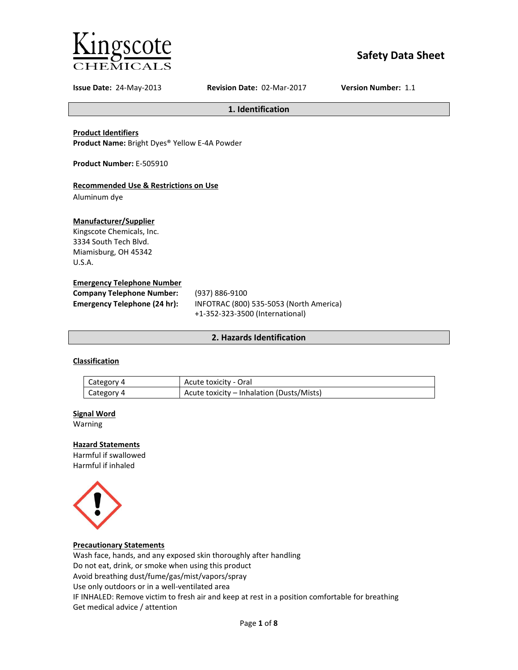

# **Safety Data Sheet**

**Issue Date:** 24-May-2013 **Revision Date:** 02-Mar-2017 **Version Number:** 1.1

**1. Identification**

# **Product Identifiers**

**Product Name:** Bright Dyes® Yellow E-4A Powder

**Product Number:** E-505910

# **Recommended Use & Restrictions on Use**

Aluminum dye

## **Manufacturer/Supplier**

Kingscote Chemicals, Inc. 3334 South Tech Blvd. Miamisburg, OH 45342 U.S.A.

## **Emergency Telephone Number**

| <b>Company Telephone Number:</b> | (937) 886-9100                          |
|----------------------------------|-----------------------------------------|
| Emergency Telephone (24 hr):     | INFOTRAC (800) 535-5053 (North America) |
|                                  | +1-352-323-3500 (International)         |

# **2. Hazards Identification**

# **Classification**

| Category 4 | Acute toxicity - Oral                     |
|------------|-------------------------------------------|
| Category 4 | Acute toxicity – Inhalation (Dusts/Mists) |

## **Signal Word**

Warning

## **Hazard Statements**

Harmful if swallowed Harmful if inhaled



## **Precautionary Statements**

Wash face, hands, and any exposed skin thoroughly after handling Do not eat, drink, or smoke when using this product Avoid breathing dust/fume/gas/mist/vapors/spray Use only outdoors or in a well-ventilated area IF INHALED: Remove victim to fresh air and keep at rest in a position comfortable for breathing Get medical advice / attention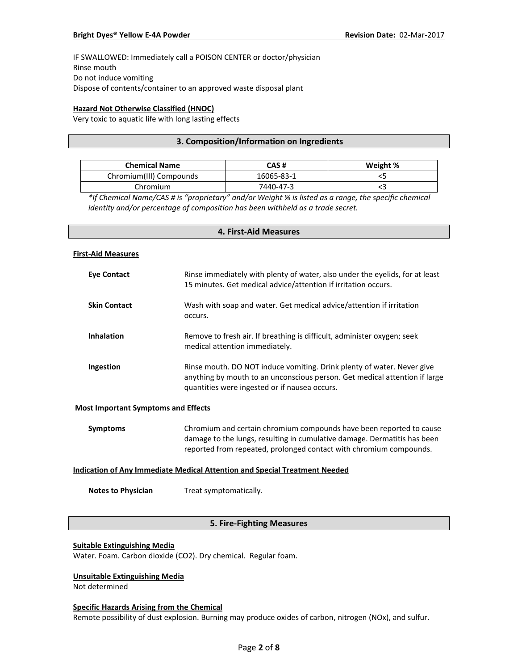IF SWALLOWED: Immediately call a POISON CENTER or doctor/physician Rinse mouth Do not induce vomiting Dispose of contents/container to an approved waste disposal plant

# **Hazard Not Otherwise Classified (HNOC)**

Very toxic to aquatic life with long lasting effects

# **3. Composition/Information on Ingredients**

| <b>Chemical Name</b>    | CAS #      | Weight % |
|-------------------------|------------|----------|
| Chromium(III) Compounds | 16065-83-1 |          |
| Chromium                | 7440-47-3  |          |

*\*If Chemical Name/CAS # is "proprietary" and/or Weight % is listed as a range, the specific chemical identity and/or percentage of composition has been withheld as a trade secret.*

# **4. First-Aid Measures**

#### **First-Aid Measures**

| Eye Contact         | Rinse immediately with plenty of water, also under the eyelids, for at least<br>15 minutes. Get medical advice/attention if irritation occurs.                                                        |
|---------------------|-------------------------------------------------------------------------------------------------------------------------------------------------------------------------------------------------------|
| <b>Skin Contact</b> | Wash with soap and water. Get medical advice/attention if irritation<br>occurs.                                                                                                                       |
| <b>Inhalation</b>   | Remove to fresh air. If breathing is difficult, administer oxygen; seek<br>medical attention immediately.                                                                                             |
| Ingestion           | Rinse mouth. DO NOT induce vomiting. Drink plenty of water. Never give<br>anything by mouth to an unconscious person. Get medical attention if large<br>quantities were ingested or if nausea occurs. |

## **Most Important Symptoms and Effects**

| Symptoms | Chromium and certain chromium compounds have been reported to cause      |
|----------|--------------------------------------------------------------------------|
|          | damage to the lungs, resulting in cumulative damage. Dermatitis has been |
|          | reported from repeated, prolonged contact with chromium compounds.       |

## **Indication of Any Immediate Medical Attention and Special Treatment Needed**

**Notes to Physician** Treat symptomatically.

# **5. Fire-Fighting Measures**

## **Suitable Extinguishing Media**

Water. Foam. Carbon dioxide (CO2). Dry chemical. Regular foam.

# **Unsuitable Extinguishing Media**

Not determined

#### **Specific Hazards Arising from the Chemical**

Remote possibility of dust explosion. Burning may produce oxides of carbon, nitrogen (NOx), and sulfur.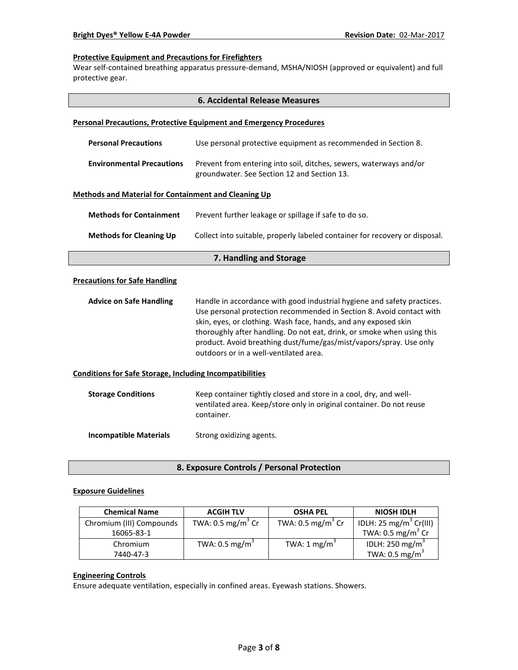## **Protective Equipment and Precautions for Firefighters**

Wear self-contained breathing apparatus pressure-demand, MSHA/NIOSH (approved or equivalent) and full protective gear.

| <b>6. Accidental Release Measures</b>                                      |                                                                                                                                                                                                                                                                                                                                                                                                              |  |  |  |
|----------------------------------------------------------------------------|--------------------------------------------------------------------------------------------------------------------------------------------------------------------------------------------------------------------------------------------------------------------------------------------------------------------------------------------------------------------------------------------------------------|--|--|--|
| <b>Personal Precautions, Protective Equipment and Emergency Procedures</b> |                                                                                                                                                                                                                                                                                                                                                                                                              |  |  |  |
| <b>Personal Precautions</b>                                                | Use personal protective equipment as recommended in Section 8.                                                                                                                                                                                                                                                                                                                                               |  |  |  |
| <b>Environmental Precautions</b>                                           | Prevent from entering into soil, ditches, sewers, waterways and/or<br>groundwater. See Section 12 and Section 13.                                                                                                                                                                                                                                                                                            |  |  |  |
| <b>Methods and Material for Containment and Cleaning Up</b>                |                                                                                                                                                                                                                                                                                                                                                                                                              |  |  |  |
| <b>Methods for Containment</b>                                             | Prevent further leakage or spillage if safe to do so.                                                                                                                                                                                                                                                                                                                                                        |  |  |  |
| <b>Methods for Cleaning Up</b>                                             | Collect into suitable, properly labeled container for recovery or disposal.                                                                                                                                                                                                                                                                                                                                  |  |  |  |
| 7. Handling and Storage                                                    |                                                                                                                                                                                                                                                                                                                                                                                                              |  |  |  |
| <b>Precautions for Safe Handling</b>                                       |                                                                                                                                                                                                                                                                                                                                                                                                              |  |  |  |
| <b>Advice on Safe Handling</b>                                             | Handle in accordance with good industrial hygiene and safety practices.<br>Use personal protection recommended in Section 8. Avoid contact with<br>skin, eyes, or clothing. Wash face, hands, and any exposed skin<br>thoroughly after handling. Do not eat, drink, or smoke when using this<br>product. Avoid breathing dust/fume/gas/mist/vapors/spray. Use only<br>outdoors or in a well-ventilated area. |  |  |  |
| <b>Conditions for Safe Storage, Including Incompatibilities</b>            |                                                                                                                                                                                                                                                                                                                                                                                                              |  |  |  |
| <b>Storage Conditions</b>                                                  | Keep container tightly closed and store in a cool, dry, and well-<br>ventilated area. Keep/store only in original container. Do not reuse<br>container.                                                                                                                                                                                                                                                      |  |  |  |
| <b>Incompatible Materials</b>                                              | Strong oxidizing agents.                                                                                                                                                                                                                                                                                                                                                                                     |  |  |  |

**8. Exposure Controls / Personal Protection**

# **Exposure Guidelines**

| <b>Chemical Name</b>     | <b>ACGIH TLV</b>             | <b>OSHA PEL</b>              | <b>NIOSH IDLH</b>                  |
|--------------------------|------------------------------|------------------------------|------------------------------------|
| Chromium (III) Compounds | TWA: $0.5 \text{ mg/m}^3$ Cr | TWA: $0.5 \text{ mg/m}^3$ Cr | IDLH: 25 mg/m <sup>3</sup> Cr(III) |
| 16065-83-1               |                              |                              | TWA: 0.5 mg/m <sup>3</sup> Cr      |
| Chromium                 | TWA: 0.5 mg/m <sup>3</sup>   | TWA: 1 mg/m <sup>3</sup>     | IDLH: 250 mg/m <sup>3</sup>        |
| 7440-47-3                |                              |                              | TWA: $0.5 \text{ mg/m}^3$          |

# **Engineering Controls**

Ensure adequate ventilation, especially in confined areas. Eyewash stations. Showers.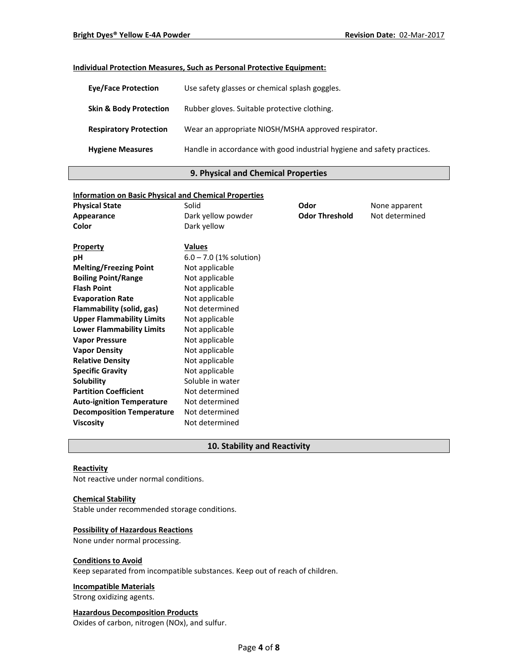# **Individual Protection Measures, Such as Personal Protective Equipment:**

| <b>Eye/Face Protection</b>        | Use safety glasses or chemical splash goggles.                          |
|-----------------------------------|-------------------------------------------------------------------------|
| <b>Skin &amp; Body Protection</b> | Rubber gloves. Suitable protective clothing.                            |
| <b>Respiratory Protection</b>     | Wear an appropriate NIOSH/MSHA approved respirator.                     |
| <b>Hygiene Measures</b>           | Handle in accordance with good industrial hygiene and safety practices. |

# **9. Physical and Chemical Properties**

| <b>Information on Basic Physical and Chemical Properties</b> |                           |                       |                |
|--------------------------------------------------------------|---------------------------|-----------------------|----------------|
| <b>Physical State</b>                                        | Solid                     | Odor                  | None apparent  |
| Appearance                                                   | Dark yellow powder        | <b>Odor Threshold</b> | Not determined |
| Color                                                        | Dark yellow               |                       |                |
| <b>Property</b>                                              | <b>Values</b>             |                       |                |
| рH                                                           | $6.0 - 7.0$ (1% solution) |                       |                |
| <b>Melting/Freezing Point</b>                                | Not applicable            |                       |                |
| <b>Boiling Point/Range</b>                                   | Not applicable            |                       |                |
| <b>Flash Point</b>                                           | Not applicable            |                       |                |
| <b>Evaporation Rate</b>                                      | Not applicable            |                       |                |
| Flammability (solid, gas)                                    | Not determined            |                       |                |
| <b>Upper Flammability Limits</b>                             | Not applicable            |                       |                |
| <b>Lower Flammability Limits</b>                             | Not applicable            |                       |                |
| <b>Vapor Pressure</b>                                        | Not applicable            |                       |                |
| <b>Vapor Density</b>                                         | Not applicable            |                       |                |
| <b>Relative Density</b>                                      | Not applicable            |                       |                |
| <b>Specific Gravity</b>                                      | Not applicable            |                       |                |
| Solubility                                                   | Soluble in water          |                       |                |
| <b>Partition Coefficient</b>                                 | Not determined            |                       |                |
| <b>Auto-ignition Temperature</b>                             | Not determined            |                       |                |
| <b>Decomposition Temperature</b>                             | Not determined            |                       |                |
| <b>Viscosity</b>                                             | Not determined            |                       |                |

# **10. Stability and Reactivity**

## **Reactivity**

Not reactive under normal conditions.

#### **Chemical Stability**

Stable under recommended storage conditions.

# **Possibility of Hazardous Reactions**

None under normal processing.

#### **Conditions to Avoid**

Keep separated from incompatible substances. Keep out of reach of children.

## **Incompatible Materials**

Strong oxidizing agents.

# **Hazardous Decomposition Products**

Oxides of carbon, nitrogen (NOx), and sulfur.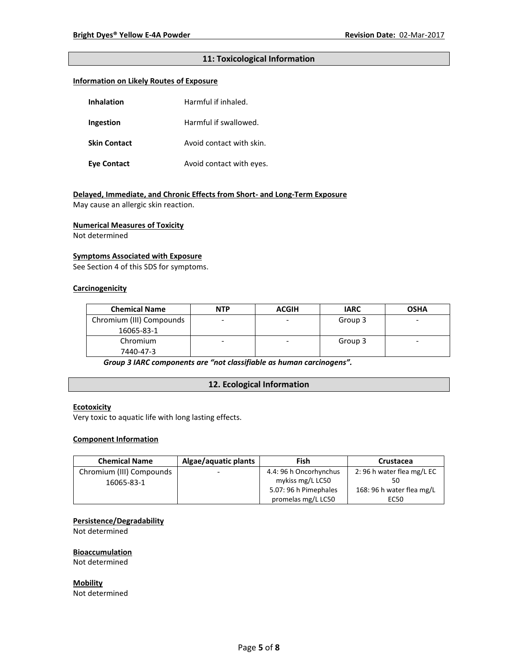# **11: Toxicological Information**

## **Information on Likely Routes of Exposure**

| <b>Inhalation</b>   | Harmful if inhaled.      |  |
|---------------------|--------------------------|--|
| Ingestion           | Harmful if swallowed.    |  |
| <b>Skin Contact</b> | Avoid contact with skin. |  |
| Eye Contact         | Avoid contact with eyes. |  |

# **Delayed, Immediate, and Chronic Effects from Short- and Long-Term Exposure**

May cause an allergic skin reaction.

#### **Numerical Measures of Toxicity**

Not determined

## **Symptoms Associated with Exposure**

See Section 4 of this SDS for symptoms.

# **Carcinogenicity**

| <b>Chemical Name</b>     | <b>NTP</b> | <b>ACGIH</b> | <b>IARC</b> | <b>OSHA</b> |
|--------------------------|------------|--------------|-------------|-------------|
| Chromium (III) Compounds |            |              | Group 3     | -           |
| 16065-83-1               |            |              |             |             |
| Chromium                 |            | ۰            | Group 3     | -           |
| 7440-47-3                |            |              |             |             |

*Group 3 IARC components are "not classifiable as human carcinogens".*

# **12. Ecological Information**

# **Ecotoxicity**

Very toxic to aquatic life with long lasting effects.

## **Component Information**

| <b>Chemical Name</b>     | Algae/aquatic plants     | Fish                   | Crustacea                 |
|--------------------------|--------------------------|------------------------|---------------------------|
| Chromium (III) Compounds | $\overline{\phantom{0}}$ | 4.4: 96 h Oncorhynchus | 2:96 h water flea mg/L EC |
| 16065-83-1               |                          | mykiss mg/L LC50       |                           |
|                          |                          | 5.07: 96 h Pimephales  | 168: 96 h water flea mg/L |
|                          |                          | promelas mg/L LC50     | EC50                      |

## **Persistence/Degradability**

Not determined

#### **Bioaccumulation**

Not determined

**Mobility** Not determined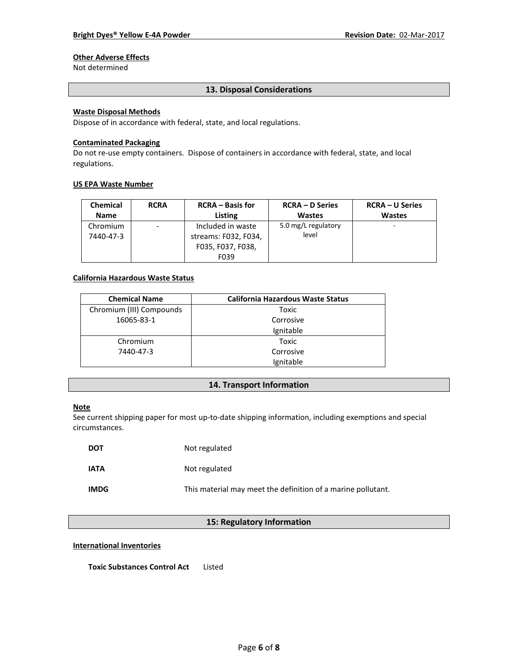# **Other Adverse Effects**

Not determined

# **13. Disposal Considerations**

# **Waste Disposal Methods**

Dispose of in accordance with federal, state, and local regulations.

#### **Contaminated Packaging**

Do not re-use empty containers.Dispose of containers in accordance with federal, state, and local regulations.

#### **US EPA Waste Number**

| <b>Chemical</b>       | <b>RCRA</b> | <b>RCRA</b> – Basis for                                                | <b>RCRA – D Series</b>       | <b>RCRA – U Series</b> |
|-----------------------|-------------|------------------------------------------------------------------------|------------------------------|------------------------|
| <b>Name</b>           |             | Listing                                                                | <b>Wastes</b>                | <b>Wastes</b>          |
| Chromium<br>7440-47-3 | -           | Included in waste<br>streams: F032, F034,<br>F035, F037, F038,<br>F039 | 5.0 mg/L regulatory<br>level |                        |

# **California Hazardous Waste Status**

| <b>Chemical Name</b>     | <b>California Hazardous Waste Status</b> |
|--------------------------|------------------------------------------|
| Chromium (III) Compounds | Toxic                                    |
| 16065-83-1               | Corrosive                                |
|                          | Ignitable                                |
| Chromium                 | Toxic                                    |
| 7440-47-3                | Corrosive                                |
|                          | Ignitable                                |

## **14. Transport Information**

## **Note**

See current shipping paper for most up-to-date shipping information, including exemptions and special circumstances.

| <b>DOT</b>  | Not regulated                                                |
|-------------|--------------------------------------------------------------|
| <b>IATA</b> | Not regulated                                                |
| <b>IMDG</b> | This material may meet the definition of a marine pollutant. |

# **15: Regulatory Information**

#### **International Inventories**

**Toxic Substances Control Act** Listed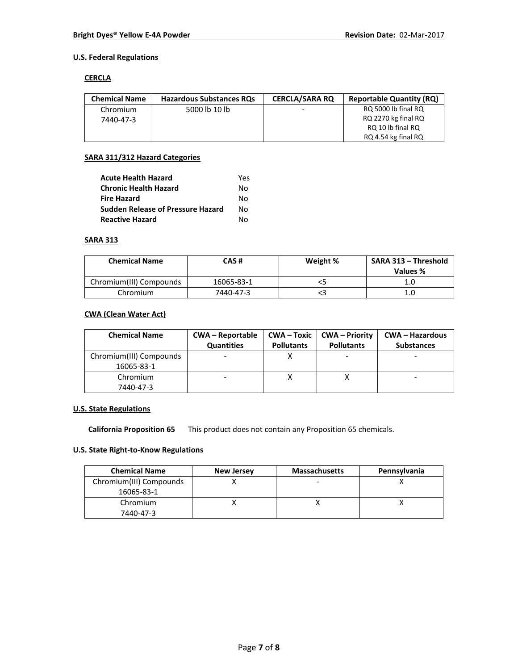# **U.S. Federal Regulations**

## **CERCLA**

| <b>Chemical Name</b> | <b>Hazardous Substances RQs</b> | <b>CERCLA/SARA RO</b> | <b>Reportable Quantity (RQ)</b> |
|----------------------|---------------------------------|-----------------------|---------------------------------|
| Chromium             | 5000 lb 10 lb                   |                       | RQ 5000 lb final RQ             |
| 7440-47-3            |                                 |                       | RQ 2270 kg final RQ             |
|                      |                                 |                       | RQ 10 lb final RQ               |
|                      |                                 |                       | RQ 4.54 kg final RQ             |

## **SARA 311/312 Hazard Categories**

| <b>Acute Health Hazard</b>               | Yes |
|------------------------------------------|-----|
| <b>Chronic Health Hazard</b>             | N٥  |
| <b>Fire Hazard</b>                       | N٥  |
| <b>Sudden Release of Pressure Hazard</b> | N٥  |
| <b>Reactive Hazard</b>                   | N٥  |

## **SARA 313**

| <b>Chemical Name</b>    | CAS#       | Weight % | SARA 313 - Threshold<br>Values % |
|-------------------------|------------|----------|----------------------------------|
| Chromium(III) Compounds | 16065-83-1 |          | 1.0                              |
| Chromium                | 7440-47-3  |          | 1.0                              |

# **CWA (Clean Water Act)**

| <b>Chemical Name</b>    | <b>CWA-Reportable</b><br><b>Quantities</b> | <b>Pollutants</b> | <b>CWA-Toxic   CWA-Priority</b><br><b>Pollutants</b> | <b>CWA - Hazardous</b><br><b>Substances</b> |
|-------------------------|--------------------------------------------|-------------------|------------------------------------------------------|---------------------------------------------|
| Chromium(III) Compounds |                                            |                   |                                                      | -                                           |
| 16065-83-1              |                                            |                   |                                                      |                                             |
| Chromium                |                                            |                   |                                                      |                                             |
| 7440-47-3               |                                            |                   |                                                      |                                             |

# **U.S. State Regulations**

**California Proposition 65** This product does not contain any Proposition 65 chemicals.

# **U.S. State Right-to-Know Regulations**

| <b>Chemical Name</b>    | <b>New Jersey</b> | <b>Massachusetts</b> | Pennsylvania |
|-------------------------|-------------------|----------------------|--------------|
| Chromium(III) Compounds |                   |                      |              |
| 16065-83-1              |                   |                      |              |
| Chromium                |                   |                      |              |
| 7440-47-3               |                   |                      |              |